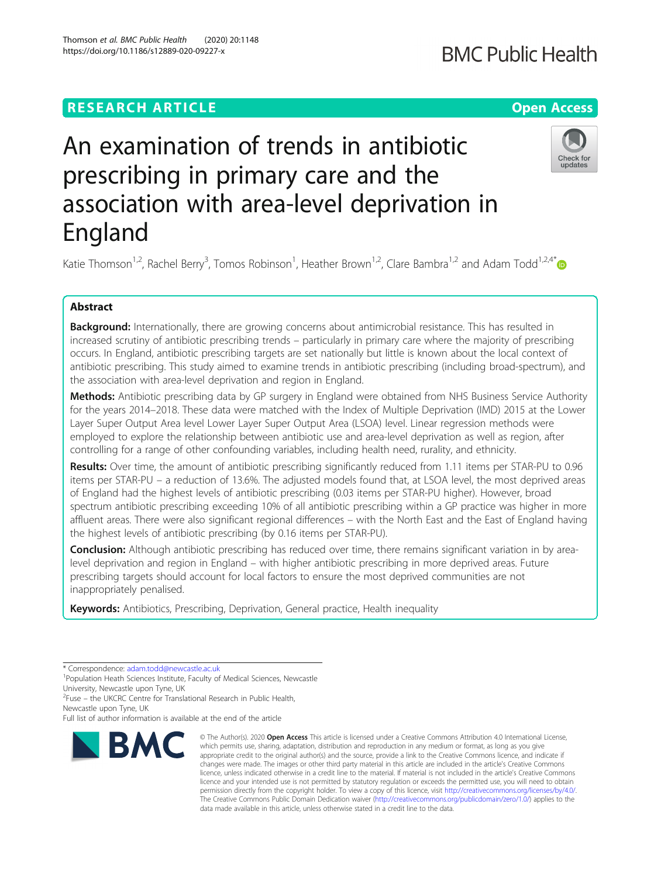# **RESEARCH ARTICLE Example 2014 12:30 The Contract of Contract ACCESS**

# An examination of trends in antibiotic prescribing in primary care and the association with area-level deprivation in England

Katie Thomson<sup>1,2</sup>, Rachel Berry<sup>3</sup>, Tomos Robinson<sup>1</sup>, Heather Brown<sup>1,2</sup>, Clare Bambra<sup>1,2</sup> and Adam Todd<sup>1,2,4\*</sup>

## Abstract

**Background:** Internationally, there are growing concerns about antimicrobial resistance. This has resulted in increased scrutiny of antibiotic prescribing trends – particularly in primary care where the majority of prescribing occurs. In England, antibiotic prescribing targets are set nationally but little is known about the local context of antibiotic prescribing. This study aimed to examine trends in antibiotic prescribing (including broad-spectrum), and the association with area-level deprivation and region in England.

Methods: Antibiotic prescribing data by GP surgery in England were obtained from NHS Business Service Authority for the years 2014–2018. These data were matched with the Index of Multiple Deprivation (IMD) 2015 at the Lower Layer Super Output Area level Lower Layer Super Output Area (LSOA) level. Linear regression methods were employed to explore the relationship between antibiotic use and area-level deprivation as well as region, after controlling for a range of other confounding variables, including health need, rurality, and ethnicity.

Results: Over time, the amount of antibiotic prescribing significantly reduced from 1.11 items per STAR-PU to 0.96 items per STAR-PU – a reduction of 13.6%. The adjusted models found that, at LSOA level, the most deprived areas of England had the highest levels of antibiotic prescribing (0.03 items per STAR-PU higher). However, broad spectrum antibiotic prescribing exceeding 10% of all antibiotic prescribing within a GP practice was higher in more affluent areas. There were also significant regional differences – with the North East and the East of England having the highest levels of antibiotic prescribing (by 0.16 items per STAR-PU).

Conclusion: Although antibiotic prescribing has reduced over time, there remains significant variation in by arealevel deprivation and region in England – with higher antibiotic prescribing in more deprived areas. Future prescribing targets should account for local factors to ensure the most deprived communities are not inappropriately penalised.

Keywords: Antibiotics, Prescribing, Deprivation, General practice, Health inequality

\* Correspondence: [adam.todd@newcastle.ac.uk](mailto:adam.todd@newcastle.ac.uk) <sup>1</sup>

**BMC** 

<sup>1</sup> Population Heath Sciences Institute, Faculty of Medical Sciences, Newcastle University, Newcastle upon Tyne, UK

<sup>2</sup>Fuse – the UKCRC Centre for Translational Research in Public Health,

Newcastle upon Tyne, UK Full list of author information is available at the end of the article







<sup>©</sup> The Author(s), 2020 **Open Access** This article is licensed under a Creative Commons Attribution 4.0 International License, which permits use, sharing, adaptation, distribution and reproduction in any medium or format, as long as you give appropriate credit to the original author(s) and the source, provide a link to the Creative Commons licence, and indicate if changes were made. The images or other third party material in this article are included in the article's Creative Commons licence, unless indicated otherwise in a credit line to the material. If material is not included in the article's Creative Commons licence and your intended use is not permitted by statutory regulation or exceeds the permitted use, you will need to obtain permission directly from the copyright holder. To view a copy of this licence, visit [http://creativecommons.org/licenses/by/4.0/.](http://creativecommons.org/licenses/by/4.0/) The Creative Commons Public Domain Dedication waiver [\(http://creativecommons.org/publicdomain/zero/1.0/](http://creativecommons.org/publicdomain/zero/1.0/)) applies to the data made available in this article, unless otherwise stated in a credit line to the data.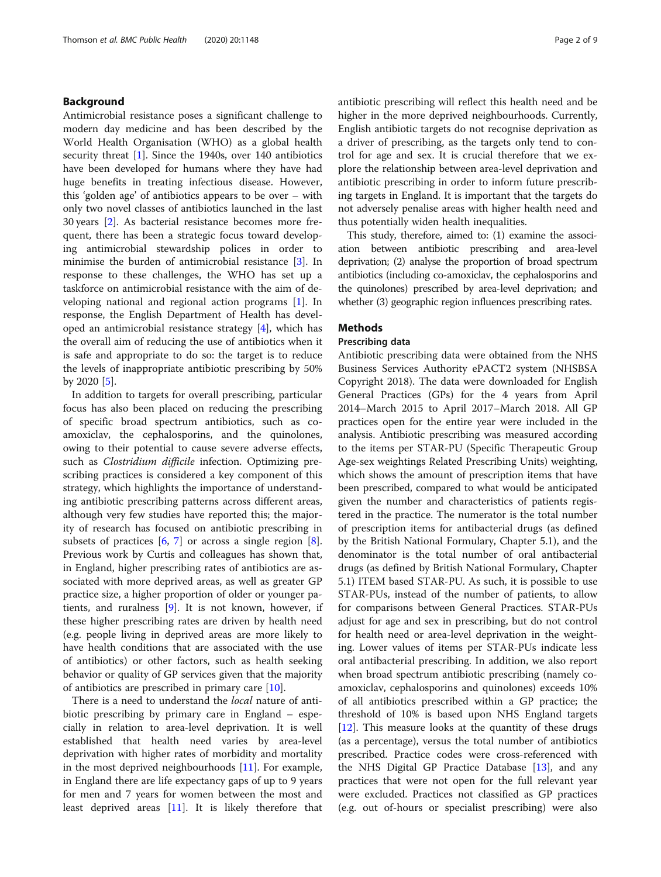## Background

Antimicrobial resistance poses a significant challenge to modern day medicine and has been described by the World Health Organisation (WHO) as a global health security threat [\[1](#page-7-0)]. Since the 1940s, over 140 antibiotics have been developed for humans where they have had huge benefits in treating infectious disease. However, this 'golden age' of antibiotics appears to be over – with only two novel classes of antibiotics launched in the last 30 years [[2\]](#page-7-0). As bacterial resistance becomes more frequent, there has been a strategic focus toward developing antimicrobial stewardship polices in order to minimise the burden of antimicrobial resistance [\[3](#page-7-0)]. In response to these challenges, the WHO has set up a taskforce on antimicrobial resistance with the aim of developing national and regional action programs [[1\]](#page-7-0). In response, the English Department of Health has developed an antimicrobial resistance strategy  $[4]$  $[4]$ , which has the overall aim of reducing the use of antibiotics when it is safe and appropriate to do so: the target is to reduce the levels of inappropriate antibiotic prescribing by 50% by 2020 [[5\]](#page-7-0).

In addition to targets for overall prescribing, particular focus has also been placed on reducing the prescribing of specific broad spectrum antibiotics, such as coamoxiclav, the cephalosporins, and the quinolones, owing to their potential to cause severe adverse effects, such as *Clostridium difficile* infection. Optimizing prescribing practices is considered a key component of this strategy, which highlights the importance of understanding antibiotic prescribing patterns across different areas, although very few studies have reported this; the majority of research has focused on antibiotic prescribing in subsets of practices  $[6, 7]$  $[6, 7]$  $[6, 7]$  $[6, 7]$  or across a single region  $[8]$  $[8]$ . Previous work by Curtis and colleagues has shown that, in England, higher prescribing rates of antibiotics are associated with more deprived areas, as well as greater GP practice size, a higher proportion of older or younger patients, and ruralness [[9\]](#page-7-0). It is not known, however, if these higher prescribing rates are driven by health need (e.g. people living in deprived areas are more likely to have health conditions that are associated with the use of antibiotics) or other factors, such as health seeking behavior or quality of GP services given that the majority of antibiotics are prescribed in primary care [[10](#page-8-0)].

There is a need to understand the *local* nature of antibiotic prescribing by primary care in England – especially in relation to area-level deprivation. It is well established that health need varies by area-level deprivation with higher rates of morbidity and mortality in the most deprived neighbourhoods [[11\]](#page-8-0). For example, in England there are life expectancy gaps of up to 9 years for men and 7 years for women between the most and least deprived areas [\[11](#page-8-0)]. It is likely therefore that antibiotic prescribing will reflect this health need and be higher in the more deprived neighbourhoods. Currently, English antibiotic targets do not recognise deprivation as a driver of prescribing, as the targets only tend to control for age and sex. It is crucial therefore that we explore the relationship between area-level deprivation and antibiotic prescribing in order to inform future prescribing targets in England. It is important that the targets do not adversely penalise areas with higher health need and thus potentially widen health inequalities.

This study, therefore, aimed to: (1) examine the association between antibiotic prescribing and area-level deprivation; (2) analyse the proportion of broad spectrum antibiotics (including co-amoxiclav, the cephalosporins and the quinolones) prescribed by area-level deprivation; and whether (3) geographic region influences prescribing rates.

## **Methods**

## Prescribing data

Antibiotic prescribing data were obtained from the NHS Business Services Authority ePACT2 system (NHSBSA Copyright 2018). The data were downloaded for English General Practices (GPs) for the 4 years from April 2014–March 2015 to April 2017–March 2018. All GP practices open for the entire year were included in the analysis. Antibiotic prescribing was measured according to the items per STAR-PU (Specific Therapeutic Group Age-sex weightings Related Prescribing Units) weighting, which shows the amount of prescription items that have been prescribed, compared to what would be anticipated given the number and characteristics of patients registered in the practice. The numerator is the total number of prescription items for antibacterial drugs (as defined by the British National Formulary, Chapter 5.1), and the denominator is the total number of oral antibacterial drugs (as defined by British National Formulary, Chapter 5.1) ITEM based STAR-PU. As such, it is possible to use STAR-PUs, instead of the number of patients, to allow for comparisons between General Practices. STAR-PUs adjust for age and sex in prescribing, but do not control for health need or area-level deprivation in the weighting. Lower values of items per STAR-PUs indicate less oral antibacterial prescribing. In addition, we also report when broad spectrum antibiotic prescribing (namely coamoxiclav, cephalosporins and quinolones) exceeds 10% of all antibiotics prescribed within a GP practice; the threshold of 10% is based upon NHS England targets [[12\]](#page-8-0). This measure looks at the quantity of these drugs (as a percentage), versus the total number of antibiotics prescribed. Practice codes were cross-referenced with the NHS Digital GP Practice Database [\[13\]](#page-8-0), and any practices that were not open for the full relevant year were excluded. Practices not classified as GP practices (e.g. out of-hours or specialist prescribing) were also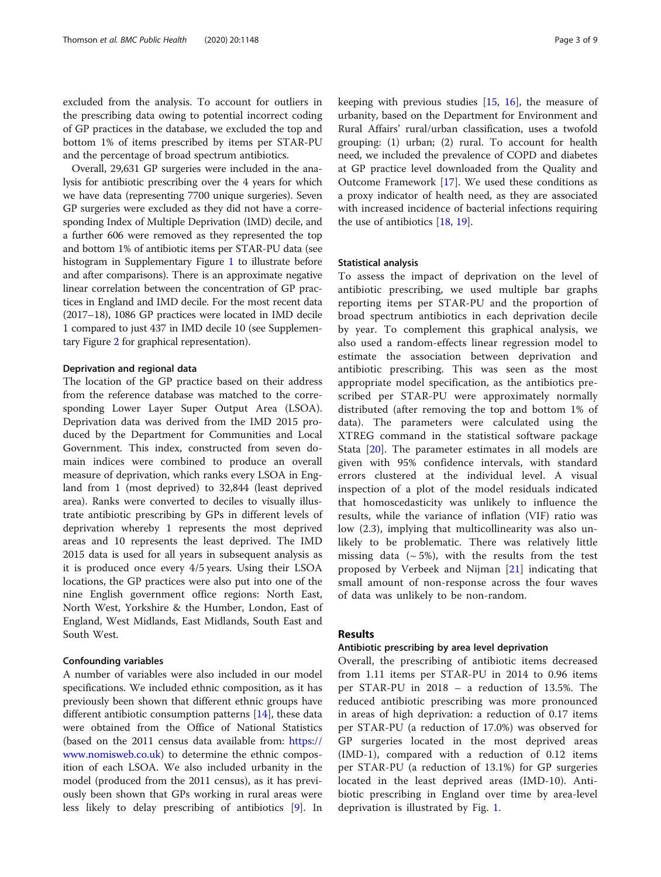excluded from the analysis. To account for outliers in the prescribing data owing to potential incorrect coding of GP practices in the database, we excluded the top and bottom 1% of items prescribed by items per STAR-PU and the percentage of broad spectrum antibiotics.

Overall, 29,631 GP surgeries were included in the analysis for antibiotic prescribing over the 4 years for which we have data (representing 7700 unique surgeries). Seven GP surgeries were excluded as they did not have a corresponding Index of Multiple Deprivation (IMD) decile, and a further 606 were removed as they represented the top and bottom 1% of antibiotic items per STAR-PU data (see histogram in Supplementary Figure [1](#page-7-0) to illustrate before and after comparisons). There is an approximate negative linear correlation between the concentration of GP practices in England and IMD decile. For the most recent data (2017–18), 1086 GP practices were located in IMD decile 1 compared to just 437 in IMD decile 10 (see Supplementary Figure [2](#page-7-0) for graphical representation).

## Deprivation and regional data

The location of the GP practice based on their address from the reference database was matched to the corresponding Lower Layer Super Output Area (LSOA). Deprivation data was derived from the IMD 2015 produced by the Department for Communities and Local Government. This index, constructed from seven domain indices were combined to produce an overall measure of deprivation, which ranks every LSOA in England from 1 (most deprived) to 32,844 (least deprived area). Ranks were converted to deciles to visually illustrate antibiotic prescribing by GPs in different levels of deprivation whereby 1 represents the most deprived areas and 10 represents the least deprived. The IMD 2015 data is used for all years in subsequent analysis as it is produced once every 4/5 years. Using their LSOA locations, the GP practices were also put into one of the nine English government office regions: North East, North West, Yorkshire & the Humber, London, East of England, West Midlands, East Midlands, South East and South West.

#### Confounding variables

A number of variables were also included in our model specifications. We included ethnic composition, as it has previously been shown that different ethnic groups have different antibiotic consumption patterns [\[14](#page-8-0)], these data were obtained from the Office of National Statistics (based on the 2011 census data available from: [https://](https://www.nomisweb.co.uk) [www.nomisweb.co.uk\)](https://www.nomisweb.co.uk) to determine the ethnic composition of each LSOA. We also included urbanity in the model (produced from the 2011 census), as it has previously been shown that GPs working in rural areas were less likely to delay prescribing of antibiotics [\[9](#page-7-0)]. In keeping with previous studies  $[15, 16]$  $[15, 16]$  $[15, 16]$ , the measure of urbanity, based on the Department for Environment and Rural Affairs' rural/urban classification, uses a twofold grouping: (1) urban; (2) rural. To account for health need, we included the prevalence of COPD and diabetes at GP practice level downloaded from the Quality and Outcome Framework [[17\]](#page-8-0). We used these conditions as a proxy indicator of health need, as they are associated with increased incidence of bacterial infections requiring the use of antibiotics [\[18](#page-8-0), [19\]](#page-8-0).

## Statistical analysis

To assess the impact of deprivation on the level of antibiotic prescribing, we used multiple bar graphs reporting items per STAR-PU and the proportion of broad spectrum antibiotics in each deprivation decile by year. To complement this graphical analysis, we also used a random-effects linear regression model to estimate the association between deprivation and antibiotic prescribing. This was seen as the most appropriate model specification, as the antibiotics prescribed per STAR-PU were approximately normally distributed (after removing the top and bottom 1% of data). The parameters were calculated using the XTREG command in the statistical software package Stata [\[20](#page-8-0)]. The parameter estimates in all models are given with 95% confidence intervals, with standard errors clustered at the individual level. A visual inspection of a plot of the model residuals indicated that homoscedasticity was unlikely to influence the results, while the variance of inflation (VIF) ratio was low (2.3), implying that multicollinearity was also unlikely to be problematic. There was relatively little missing data  $({\sim} 5\%)$ , with the results from the test proposed by Verbeek and Nijman [[21\]](#page-8-0) indicating that small amount of non-response across the four waves of data was unlikely to be non-random.

## Results

## Antibiotic prescribing by area level deprivation

Overall, the prescribing of antibiotic items decreased from 1.11 items per STAR-PU in 2014 to 0.96 items per STAR-PU in 2018 – a reduction of 13.5%. The reduced antibiotic prescribing was more pronounced in areas of high deprivation: a reduction of 0.17 items per STAR-PU (a reduction of 17.0%) was observed for GP surgeries located in the most deprived areas (IMD-1), compared with a reduction of 0.12 items per STAR-PU (a reduction of 13.1%) for GP surgeries located in the least deprived areas (IMD-10). Antibiotic prescribing in England over time by area-level deprivation is illustrated by Fig. [1](#page-3-0).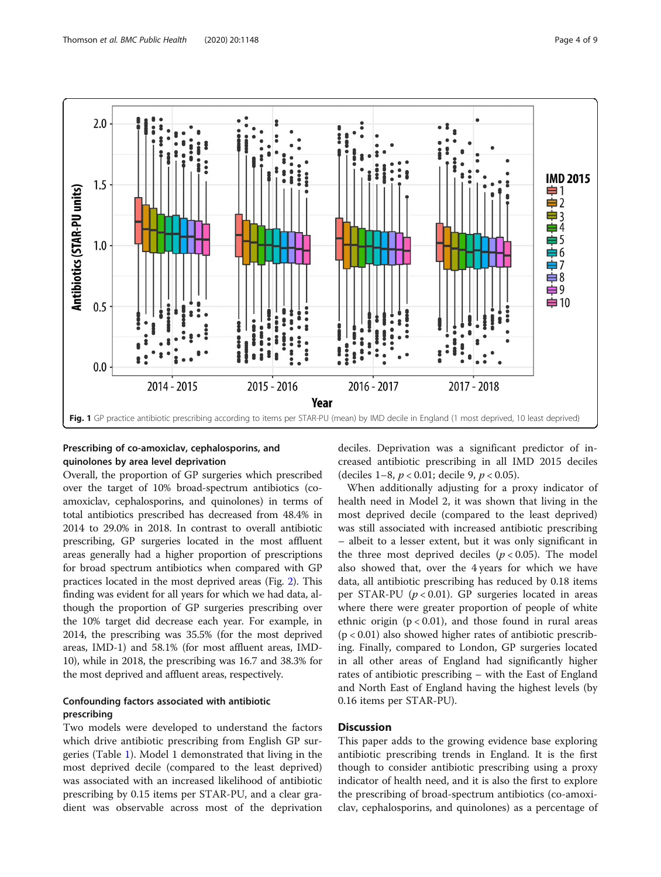

<span id="page-3-0"></span>

## Prescribing of co-amoxiclav, cephalosporins, and quinolones by area level deprivation

Overall, the proportion of GP surgeries which prescribed over the target of 10% broad-spectrum antibiotics (coamoxiclav, cephalosporins, and quinolones) in terms of total antibiotics prescribed has decreased from 48.4% in 2014 to 29.0% in 2018. In contrast to overall antibiotic prescribing, GP surgeries located in the most affluent areas generally had a higher proportion of prescriptions for broad spectrum antibiotics when compared with GP practices located in the most deprived areas (Fig. [2](#page-4-0)). This finding was evident for all years for which we had data, although the proportion of GP surgeries prescribing over the 10% target did decrease each year. For example, in 2014, the prescribing was 35.5% (for the most deprived areas, IMD-1) and 58.1% (for most affluent areas, IMD-10), while in 2018, the prescribing was 16.7 and 38.3% for the most deprived and affluent areas, respectively.

## Confounding factors associated with antibiotic prescribing

Two models were developed to understand the factors which drive antibiotic prescribing from English GP surgeries (Table [1](#page-5-0)). Model 1 demonstrated that living in the most deprived decile (compared to the least deprived) was associated with an increased likelihood of antibiotic prescribing by 0.15 items per STAR-PU, and a clear gradient was observable across most of the deprivation deciles. Deprivation was a significant predictor of increased antibiotic prescribing in all IMD 2015 deciles (deciles  $1-8$ ,  $p < 0.01$ ; decile 9,  $p < 0.05$ ).

When additionally adjusting for a proxy indicator of health need in Model 2, it was shown that living in the most deprived decile (compared to the least deprived) was still associated with increased antibiotic prescribing – albeit to a lesser extent, but it was only significant in the three most deprived deciles ( $p < 0.05$ ). The model also showed that, over the 4 years for which we have data, all antibiotic prescribing has reduced by 0.18 items per STAR-PU ( $p < 0.01$ ). GP surgeries located in areas where there were greater proportion of people of white ethnic origin  $(p < 0.01)$ , and those found in rural areas (p < 0.01) also showed higher rates of antibiotic prescribing. Finally, compared to London, GP surgeries located in all other areas of England had significantly higher rates of antibiotic prescribing – with the East of England and North East of England having the highest levels (by 0.16 items per STAR-PU).

## **Discussion**

This paper adds to the growing evidence base exploring antibiotic prescribing trends in England. It is the first though to consider antibiotic prescribing using a proxy indicator of health need, and it is also the first to explore the prescribing of broad-spectrum antibiotics (co-amoxiclav, cephalosporins, and quinolones) as a percentage of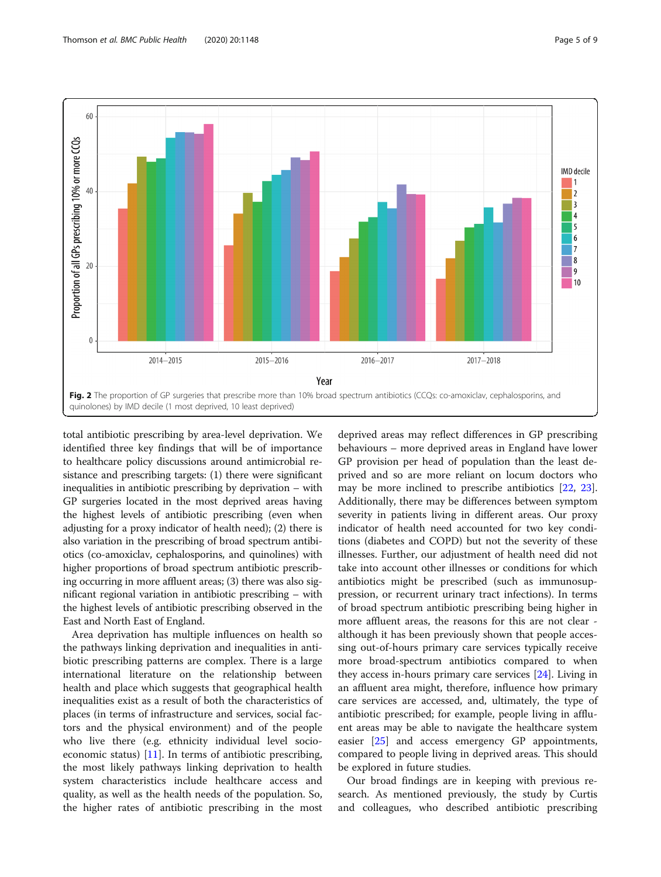<span id="page-4-0"></span>

total antibiotic prescribing by area-level deprivation. We identified three key findings that will be of importance to healthcare policy discussions around antimicrobial resistance and prescribing targets: (1) there were significant inequalities in antibiotic prescribing by deprivation – with GP surgeries located in the most deprived areas having the highest levels of antibiotic prescribing (even when adjusting for a proxy indicator of health need); (2) there is also variation in the prescribing of broad spectrum antibiotics (co-amoxiclav, cephalosporins, and quinolines) with higher proportions of broad spectrum antibiotic prescribing occurring in more affluent areas; (3) there was also significant regional variation in antibiotic prescribing – with the highest levels of antibiotic prescribing observed in the East and North East of England.

Area deprivation has multiple influences on health so the pathways linking deprivation and inequalities in antibiotic prescribing patterns are complex. There is a large international literature on the relationship between health and place which suggests that geographical health inequalities exist as a result of both the characteristics of places (in terms of infrastructure and services, social factors and the physical environment) and of the people who live there (e.g. ethnicity individual level socioeconomic status) [[11\]](#page-8-0). In terms of antibiotic prescribing, the most likely pathways linking deprivation to health system characteristics include healthcare access and quality, as well as the health needs of the population. So, the higher rates of antibiotic prescribing in the most

deprived areas may reflect differences in GP prescribing behaviours – more deprived areas in England have lower GP provision per head of population than the least deprived and so are more reliant on locum doctors who may be more inclined to prescribe antibiotics [\[22,](#page-8-0) [23](#page-8-0)]. Additionally, there may be differences between symptom severity in patients living in different areas. Our proxy indicator of health need accounted for two key conditions (diabetes and COPD) but not the severity of these illnesses. Further, our adjustment of health need did not take into account other illnesses or conditions for which antibiotics might be prescribed (such as immunosuppression, or recurrent urinary tract infections). In terms of broad spectrum antibiotic prescribing being higher in more affluent areas, the reasons for this are not clear although it has been previously shown that people accessing out-of-hours primary care services typically receive more broad-spectrum antibiotics compared to when they access in-hours primary care services [\[24\]](#page-8-0). Living in an affluent area might, therefore, influence how primary care services are accessed, and, ultimately, the type of antibiotic prescribed; for example, people living in affluent areas may be able to navigate the healthcare system easier [[25](#page-8-0)] and access emergency GP appointments, compared to people living in deprived areas. This should be explored in future studies.

Our broad findings are in keeping with previous research. As mentioned previously, the study by Curtis and colleagues, who described antibiotic prescribing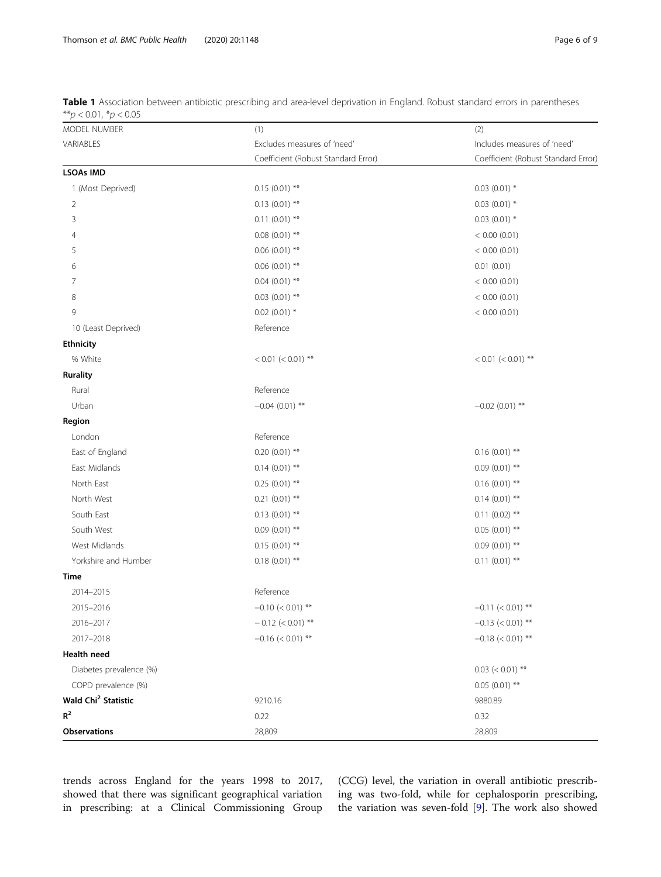| $\mathbf{r}$<br>MODEL NUMBER    | (1)                                                                | (2)                                                                |
|---------------------------------|--------------------------------------------------------------------|--------------------------------------------------------------------|
| VARIABLES                       | Excludes measures of 'need'<br>Coefficient (Robust Standard Error) | Includes measures of 'need'<br>Coefficient (Robust Standard Error) |
|                                 |                                                                    |                                                                    |
| 1 (Most Deprived)               | $0.15(0.01)$ **                                                    | $0.03(0.01)$ *                                                     |
| $\overline{2}$                  | $0.13(0.01)$ **                                                    | $0.03(0.01)$ *                                                     |
| 3                               | $0.11(0.01)$ **                                                    | $0.03$ (0.01) *                                                    |
| 4                               | $0.08(0.01)$ **                                                    | $< 0.00$ (0.01)                                                    |
| 5                               | $0.06(0.01)$ **                                                    | $< 0.00$ (0.01)                                                    |
| 6                               | $0.06(0.01)$ **                                                    | 0.01(0.01)                                                         |
| 7                               | $0.04(0.01)$ **                                                    | $< 0.00$ (0.01)                                                    |
| 8                               | $0.03$ (0.01) **                                                   | < 0.00(0.01)                                                       |
| 9                               | $0.02$ (0.01) *                                                    | < 0.00(0.01)                                                       |
| 10 (Least Deprived)             | Reference                                                          |                                                                    |
| <b>Ethnicity</b>                |                                                                    |                                                                    |
| % White                         | $< 0.01 (< 0.01)$ **                                               | $< 0.01 (< 0.01)$ **                                               |
| <b>Rurality</b>                 |                                                                    |                                                                    |
| Rural                           | Reference                                                          |                                                                    |
| Urban                           | $-0.04$ (0.01) **                                                  | $-0.02$ (0.01) **                                                  |
| Region                          |                                                                    |                                                                    |
| London                          | Reference                                                          |                                                                    |
| East of England                 | $0.20(0.01)$ **                                                    | $0.16(0.01)$ **                                                    |
| East Midlands                   | $0.14(0.01)$ **                                                    | $0.09(0.01)$ **                                                    |
| North East                      | $0.25(0.01)$ **                                                    | $0.16(0.01)$ **                                                    |
| North West                      | $0.21$ (0.01) **                                                   | $0.14$ (0.01) **                                                   |
| South East                      | $0.13(0.01)$ **                                                    | $0.11(0.02)$ **                                                    |
| South West                      | $0.09(0.01)$ **                                                    | $0.05(0.01)$ **                                                    |
| West Midlands                   | $0.15$ (0.01) **                                                   | $0.09(0.01)$ **                                                    |
| Yorkshire and Humber            | $0.18(0.01)$ **                                                    | $0.11(0.01)$ **                                                    |
| Time                            |                                                                    |                                                                    |
| 2014-2015                       | Reference                                                          |                                                                    |
| 2015-2016                       | $-0.10$ (< 0.01) **                                                | $-0.11$ (< 0.01) **                                                |
| 2016-2017                       | $-0.12$ (< 0.01) **                                                | $-0.13$ (< 0.01) **                                                |
| 2017-2018                       | $-0.16$ (< 0.01) **                                                | $-0.18$ (< 0.01) **                                                |
| <b>Health need</b>              |                                                                    |                                                                    |
| Diabetes prevalence (%)         |                                                                    | $0.03$ (< 0.01) **                                                 |
| COPD prevalence (%)             |                                                                    | $0.05(0.01)$ **                                                    |
| Wald Chi <sup>2</sup> Statistic | 9210.16                                                            | 9880.89                                                            |
| $R^2$                           | 0.22                                                               | 0.32                                                               |
| Observations                    | 28,809                                                             | 28,809                                                             |

<span id="page-5-0"></span>Table 1 Association between antibiotic prescribing and area-level deprivation in England. Robust standard errors in parentheses \*\*p < 0.01, \*p < 0.05

trends across England for the years 1998 to 2017, showed that there was significant geographical variation in prescribing: at a Clinical Commissioning Group (CCG) level, the variation in overall antibiotic prescribing was two-fold, while for cephalosporin prescribing, the variation was seven-fold [\[9](#page-7-0)]. The work also showed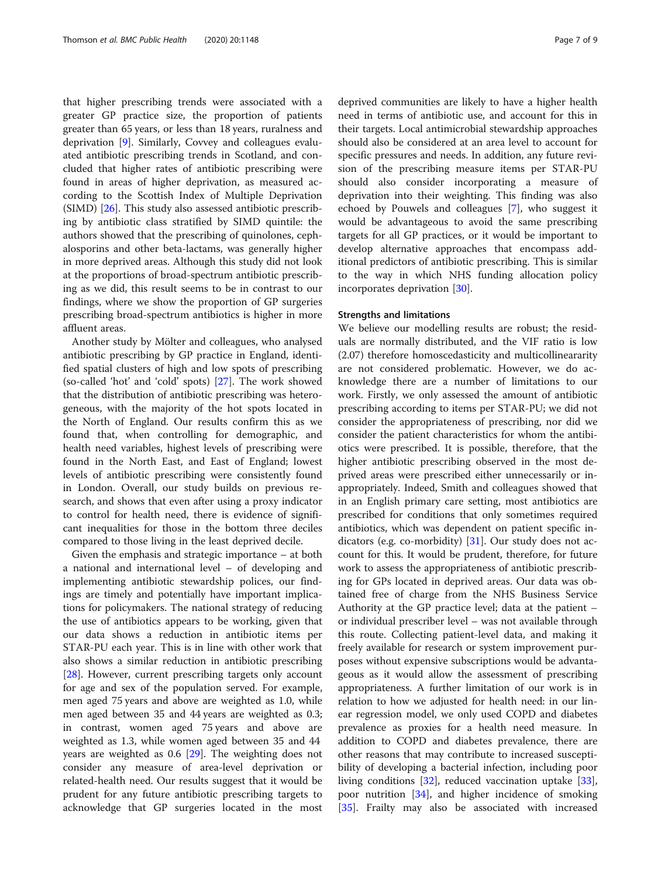that higher prescribing trends were associated with a greater GP practice size, the proportion of patients greater than 65 years, or less than 18 years, ruralness and deprivation [\[9](#page-7-0)]. Similarly, Covvey and colleagues evaluated antibiotic prescribing trends in Scotland, and concluded that higher rates of antibiotic prescribing were found in areas of higher deprivation, as measured according to the Scottish Index of Multiple Deprivation (SIMD) [[26](#page-8-0)]. This study also assessed antibiotic prescribing by antibiotic class stratified by SIMD quintile: the authors showed that the prescribing of quinolones, cephalosporins and other beta-lactams, was generally higher in more deprived areas. Although this study did not look at the proportions of broad-spectrum antibiotic prescribing as we did, this result seems to be in contrast to our findings, where we show the proportion of GP surgeries prescribing broad-spectrum antibiotics is higher in more affluent areas.

Another study by Mölter and colleagues, who analysed antibiotic prescribing by GP practice in England, identified spatial clusters of high and low spots of prescribing (so-called 'hot' and 'cold' spots) [\[27](#page-8-0)]. The work showed that the distribution of antibiotic prescribing was heterogeneous, with the majority of the hot spots located in the North of England. Our results confirm this as we found that, when controlling for demographic, and health need variables, highest levels of prescribing were found in the North East, and East of England; lowest levels of antibiotic prescribing were consistently found in London. Overall, our study builds on previous research, and shows that even after using a proxy indicator to control for health need, there is evidence of significant inequalities for those in the bottom three deciles compared to those living in the least deprived decile.

Given the emphasis and strategic importance – at both a national and international level – of developing and implementing antibiotic stewardship polices, our findings are timely and potentially have important implications for policymakers. The national strategy of reducing the use of antibiotics appears to be working, given that our data shows a reduction in antibiotic items per STAR-PU each year. This is in line with other work that also shows a similar reduction in antibiotic prescribing [[28\]](#page-8-0). However, current prescribing targets only account for age and sex of the population served. For example, men aged 75 years and above are weighted as 1.0, while men aged between 35 and 44 years are weighted as 0.3; in contrast, women aged 75 years and above are weighted as 1.3, while women aged between 35 and 44 years are weighted as 0.6 [[29](#page-8-0)]. The weighting does not consider any measure of area-level deprivation or related-health need. Our results suggest that it would be prudent for any future antibiotic prescribing targets to acknowledge that GP surgeries located in the most

deprived communities are likely to have a higher health need in terms of antibiotic use, and account for this in their targets. Local antimicrobial stewardship approaches should also be considered at an area level to account for specific pressures and needs. In addition, any future revision of the prescribing measure items per STAR-PU should also consider incorporating a measure of deprivation into their weighting. This finding was also echoed by Pouwels and colleagues [[7\]](#page-7-0), who suggest it would be advantageous to avoid the same prescribing targets for all GP practices, or it would be important to develop alternative approaches that encompass additional predictors of antibiotic prescribing. This is similar to the way in which NHS funding allocation policy incorporates deprivation [[30\]](#page-8-0).

## Strengths and limitations

We believe our modelling results are robust; the residuals are normally distributed, and the VIF ratio is low (2.07) therefore homoscedasticity and multicollineararity are not considered problematic. However, we do acknowledge there are a number of limitations to our work. Firstly, we only assessed the amount of antibiotic prescribing according to items per STAR-PU; we did not consider the appropriateness of prescribing, nor did we consider the patient characteristics for whom the antibiotics were prescribed. It is possible, therefore, that the higher antibiotic prescribing observed in the most deprived areas were prescribed either unnecessarily or inappropriately. Indeed, Smith and colleagues showed that in an English primary care setting, most antibiotics are prescribed for conditions that only sometimes required antibiotics, which was dependent on patient specific indicators (e.g. co-morbidity) [\[31](#page-8-0)]. Our study does not account for this. It would be prudent, therefore, for future work to assess the appropriateness of antibiotic prescribing for GPs located in deprived areas. Our data was obtained free of charge from the NHS Business Service Authority at the GP practice level; data at the patient – or individual prescriber level – was not available through this route. Collecting patient-level data, and making it freely available for research or system improvement purposes without expensive subscriptions would be advantageous as it would allow the assessment of prescribing appropriateness. A further limitation of our work is in relation to how we adjusted for health need: in our linear regression model, we only used COPD and diabetes prevalence as proxies for a health need measure. In addition to COPD and diabetes prevalence, there are other reasons that may contribute to increased susceptibility of developing a bacterial infection, including poor living conditions [[32](#page-8-0)], reduced vaccination uptake [\[33](#page-8-0)], poor nutrition [\[34\]](#page-8-0), and higher incidence of smoking [[35\]](#page-8-0). Frailty may also be associated with increased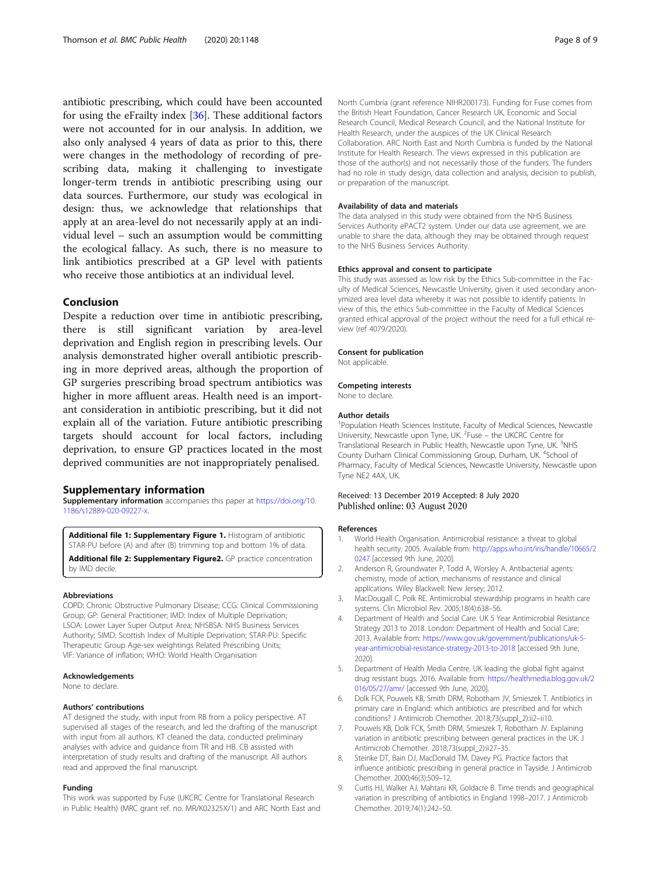<span id="page-7-0"></span>antibiotic prescribing, which could have been accounted for using the eFrailty index [[36\]](#page-8-0). These additional factors were not accounted for in our analysis. In addition, we also only analysed 4 years of data as prior to this, there were changes in the methodology of recording of prescribing data, making it challenging to investigate longer-term trends in antibiotic prescribing using our data sources. Furthermore, our study was ecological in design: thus, we acknowledge that relationships that apply at an area-level do not necessarily apply at an individual level – such an assumption would be committing the ecological fallacy. As such, there is no measure to link antibiotics prescribed at a GP level with patients who receive those antibiotics at an individual level.

## Conclusion

Despite a reduction over time in antibiotic prescribing, there is still significant variation by area-level deprivation and English region in prescribing levels. Our analysis demonstrated higher overall antibiotic prescribing in more deprived areas, although the proportion of GP surgeries prescribing broad spectrum antibiotics was higher in more affluent areas. Health need is an important consideration in antibiotic prescribing, but it did not explain all of the variation. Future antibiotic prescribing targets should account for local factors, including deprivation, to ensure GP practices located in the most deprived communities are not inappropriately penalised.

#### Supplementary information

Supplementary information accompanies this paper at [https://doi.org/10.](https://doi.org/10.1186/s12889-020-09227-x) [1186/s12889-020-09227-x.](https://doi.org/10.1186/s12889-020-09227-x)

Additional file 1: Supplementary Figure 1. Histogram of antibiotic STAR-PU before (A) and after (B) trimming top and bottom 1% of data. Additional file 2: Supplementary Figure2. GP practice concentration by IMD decile.

#### Abbreviations

COPD: Chronic Obstructive Pulmonary Disease; CCG: Clinical Commissioning Group; GP: General Practitioner; IMD: Index of Multiple Deprivation; LSOA: Lower Layer Super Output Area; NHSBSA: NHS Business Services Authority; SIMD: Scottish Index of Multiple Deprivation; STAR-PU: Specific Therapeutic Group Age-sex weightings Related Prescribing Units; VIF: Variance of inflation; WHO: World Health Organisation

#### Acknowledgements

None to declare.

#### Authors' contributions

AT designed the study, with input from RB from a policy perspective. AT supervised all stages of the research, and led the drafting of the manuscript with input from all authors. KT cleaned the data, conducted preliminary analyses with advice and guidance from TR and HB. CB assisted with interpretation of study results and drafting of the manuscript. All authors read and approved the final manuscript.

#### Funding

This work was supported by Fuse (UKCRC Centre for Translational Research in Public Health) (MRC grant ref. no. MR/K02325X/1) and ARC North East and North Cumbria (grant reference NIHR200173). Funding for Fuse comes from the British Heart Foundation, Cancer Research UK, Economic and Social Research Council, Medical Research Council, and the National Institute for Health Research, under the auspices of the UK Clinical Research Collaboration. ARC North East and North Cumbria is funded by the National Institute for Health Research. The views expressed in this publication are those of the author(s) and not necessarily those of the funders. The funders had no role in study design, data collection and analysis, decision to publish, or preparation of the manuscript.

#### Availability of data and materials

The data analysed in this study were obtained from the NHS Business Services Authority ePACT2 system. Under our data use agreement, we are unable to share the data, although they may be obtained through request to the NHS Business Services Authority.

#### Ethics approval and consent to participate

This study was assessed as low risk by the Ethics Sub-committee in the Faculty of Medical Sciences, Newcastle University, given it used secondary anonymized area level data whereby it was not possible to identify patients. In view of this, the ethics Sub-committee in the Faculty of Medical Sciences granted ethical approval of the project without the need for a full ethical review (ref 4079/2020).

#### Consent for publication

Not applicable.

#### Competing interests

None to declare.

#### Author details

<sup>1</sup> Population Heath Sciences Institute, Faculty of Medical Sciences, Newcastle University, Newcastle upon Tyne, UK. <sup>2</sup>Fuse - the UKCRC Centre for Translational Research in Public Health, Newcastle upon Tyne, UK. <sup>3</sup>NHS County Durham Clinical Commissioning Group, Durham, UK. <sup>4</sup>School of Pharmacy, Faculty of Medical Sciences, Newcastle University, Newcastle upon Tyne NE2 4AX, UK.

## Received: 13 December 2019 Accepted: 8 July 2020 Published online: 03 August 2020

#### References

- 1. World Health Organisation. Antimicrobial resistance: a threat to global health security. 2005. Available from: [http://apps.who.int/iris/handle/10665/2](http://apps.who.int/iris/handle/10665/20247) [0247](http://apps.who.int/iris/handle/10665/20247) [accessed 9th June, 2020].
- 2. Anderson R, Groundwater P, Todd A, Worsley A. Antibacterial agents: chemistry, mode of action, mechanisms of resistance and clinical applications. Wiley Blackwell: New Jersey; 2012.
- 3. MacDougall C, Polk RE. Antimicrobial stewardship programs in health care systems. Clin Microbiol Rev. 2005;18(4):638–56.
- 4. Department of Health and Social Care. UK 5 Year Antimicrobial Resistance Strategy 2013 to 2018. London: Department of Health and Social Care; 2013. Available from: [https://www.gov.uk/government/publications/uk-5](https://www.gov.uk/government/publications/uk-5-year-antimicrobial-resistance-strategy-2013-to-2018) [year-antimicrobial-resistance-strategy-2013-to-2018](https://www.gov.uk/government/publications/uk-5-year-antimicrobial-resistance-strategy-2013-to-2018) [accessed 9th June, 2020].
- 5. Department of Health Media Centre. UK leading the global fight against drug resistant bugs. 2016. Available from: [https://healthmedia.blog.gov.uk/2](https://healthmedia.blog.gov.uk/2016/05/27/amr/) [016/05/27/amr/](https://healthmedia.blog.gov.uk/2016/05/27/amr/) [accessed 9th June, 2020].
- 6. Dolk FCK, Pouwels KB, Smith DRM, Robotham JV, Smieszek T. Antibiotics in primary care in England: which antibiotics are prescribed and for which conditions? J Antimicrob Chemother. 2018;73(suppl\_2):ii2–ii10.
- 7. Pouwels KB, Dolk FCK, Smith DRM, Smieszek T, Robotham JV. Explaining variation in antibiotic prescribing between general practices in the UK. J Antimicrob Chemother. 2018;73(suppl\_2):ii27–35.
- 8. Steinke DT, Bain DJ, MacDonald TM, Davey PG. Practice factors that influence antibiotic prescribing in general practice in Tayside. J Antimicrob Chemother. 2000;46(3):509–12.
- 9. Curtis HJ, Walker AJ, Mahtani KR, Goldacre B. Time trends and geographical variation in prescribing of antibiotics in England 1998–2017. J Antimicrob Chemother. 2019;74(1):242–50.